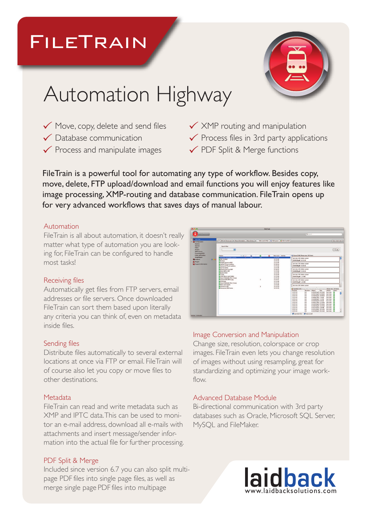# FileTrain



# Automation Highway

- $\checkmark$  Move, copy, delete and send files
- $\checkmark$  Database communication
- $\checkmark$  Process and manipulate images
- $\checkmark$  XMP routing and manipulation
- $\checkmark$  Process files in 3rd party applications
- $\checkmark$  PDF Split & Merge functions

FileTrain is a powerful tool for automating any type of workflow. Besides copy, move, delete, FTP upload/download and email functions you will enjoy features like image processing, XMP-routing and database communication. FileTrain opens up for very advanced workflows that saves days of manual labour.

# Automation

FileTrain is all about automation, it doesn't really matter what type of automation you are looking for, FileTrain can be configured to handle most tasks!

# Receiving files

Automatically get files from FTP servers, email addresses or file servers. Once downloaded FileTrain can sort them based upon literally any criteria you can think of, even on metadata inside files.

# Sending files

Distribute files automatically to several external locations at once via FTP or email. FileTrain will of course also let you copy or move files to other destinations.

# Metadata

FileTrain can read and write metadata such as XMP and IPTC data.This can be used to monitor an e-mail address, download all e-mails with attachments and insert message/sender information into the actual file for further processing.

# PDF Split & Merge

Included since version 6.7 you can also split multipage PDF files into single page files, as well as Included since version 6.7 you can also split multi-<br>
page PDF files into single page files, as well as<br>
merge single page PDF files into multipage<br>
www.laidbacksolutions.com

| īΑ                                                                                                                                                 |     |                                                                                                                                                                     |                               |                                             |                                 | <b>FileTrain</b> |                                                                    |                                                                                                                                                                                                                                                                                                                                                                                                                                                                                                                                                                                                                                                                                                                                                                                                                                                                                  |
|----------------------------------------------------------------------------------------------------------------------------------------------------|-----|---------------------------------------------------------------------------------------------------------------------------------------------------------------------|-------------------------------|---------------------------------------------|---------------------------------|------------------|--------------------------------------------------------------------|----------------------------------------------------------------------------------------------------------------------------------------------------------------------------------------------------------------------------------------------------------------------------------------------------------------------------------------------------------------------------------------------------------------------------------------------------------------------------------------------------------------------------------------------------------------------------------------------------------------------------------------------------------------------------------------------------------------------------------------------------------------------------------------------------------------------------------------------------------------------------------|
| <b>EILETRAIL</b>                                                                                                                                   |     |                                                                                                                                                                     |                               |                                             |                                 |                  |                                                                    | <b>Q</b> fearch                                                                                                                                                                                                                                                                                                                                                                                                                                                                                                                                                                                                                                                                                                                                                                                                                                                                  |
| <b>O</b> Live view<br><b>Q</b> Ceeliguration<br>Stationic<br>Sources<br><b>Titress</b><br>Actions<br><b>SMTP servers</b><br><b>Customized IPTC</b> |     | D B Force scan<br>Search filter<br>両                                                                                                                                | Show information Show history |                                             |                                 |                  | P Hide search fiber   & Hide queue   2 Hide handled                | Save creatiview<br>$-1+$                                                                                                                                                                                                                                                                                                                                                                                                                                                                                                                                                                                                                                                                                                                                                                                                                                                         |
| <b>Callas politicalbox</b><br><b>ImageMagick</b>                                                                                                   |     | Station<br>Sertimes 100-falder system                                                                                                                               | $-0.001$                      | $\overline{\phantom{a}}$<br>$\overline{10}$ | <b>Contract Contract</b><br>104 |                  | Next scan Activity<br>135551                                       | L Quego   368  Shows max 100 items                                                                                                                                                                                                                                                                                                                                                                                                                                                                                                                                                                                                                                                                                                                                                                                                                                               |
| <b>B</b> Analysis<br><b>Ski Phoening</b>                                                                                                           | BDB | <b>B</b> PDF Preflield<br><b>B</b> Buildois                                                                                                                         |                               |                                             |                                 |                  | 13:55:46<br>13:55:46                                               | Sort into 100-folder system<br>0144416.edf 10.51 kg                                                                                                                                                                                                                                                                                                                                                                                                                                                                                                                                                                                                                                                                                                                                                                                                                              |
| <b>Ba</b> Support/Information                                                                                                                      |     | <b>MimageConvert to PTC</b><br><b>M</b> Hanta FTP och notifiera<br><b>B</b> Skicka till FTP och notifiera                                                           |                               |                                             |                                 |                  | 1855-66<br>1356-44<br>13:55:46                                     | Sort into 100-folder system<br>0144588.pdf 10.8018                                                                                                                                                                                                                                                                                                                                                                                                                                                                                                                                                                                                                                                                                                                                                                                                                               |
|                                                                                                                                                    |     | <b>B</b> Sort by byline<br><b>III</b> Embed email into 330°<br><b>BE WHEN SIMP IN POF</b><br><b>B</b> Beskar bilder<br><b>M</b> 72 dpi<br>2000 files in each folder |                               |                                             |                                 |                  | 13:55:46<br>13:56:32<br>1355.46<br>13:55:46<br>13:55:46<br>1355:46 | Sort into 100-folder system<br>0144699.pdf 23.80 kB                                                                                                                                                                                                                                                                                                                                                                                                                                                                                                                                                                                                                                                                                                                                                                                                                              |
|                                                                                                                                                    |     |                                                                                                                                                                     |                               |                                             |                                 |                  |                                                                    | Sprt into 100-folder system<br>0144723.pdf 1.15 MB                                                                                                                                                                                                                                                                                                                                                                                                                                                                                                                                                                                                                                                                                                                                                                                                                               |
|                                                                                                                                                    |     | <b>B</b> Import MediaNet filer i Cargo<br><b>E Convert EPS/PDF</b> to log<br><b>MArchiving</b>                                                                      |                               |                                             | ŧ                               |                  | 1355.44<br>13:55:51<br>13:55:46                                    | Sprt into 100-folder system<br>0144725.pdf 1.20 MB                                                                                                                                                                                                                                                                                                                                                                                                                                                                                                                                                                                                                                                                                                                                                                                                                               |
|                                                                                                                                                    |     | <b>B</b> Import MediaNet filer / Cargo<br><b>B Move and rename</b><br>Convert to IPS                                                                                |                               |                                             | 6                               |                  | 1855-66<br>13.55:46<br>13:55:50                                    | Sort into 100-falder system                                                                                                                                                                                                                                                                                                                                                                                                                                                                                                                                                                                                                                                                                                                                                                                                                                                      |
|                                                                                                                                                    |     | <b>B</b> Hungwarna PNC Sorrer                                                                                                                                       |                               |                                             |                                 |                  | 1452.90                                                            | El Handled [109] Shows dame from the last 24 active hours<br>Shous max 100 items<br>Finished<br><b>Duration </b> Object<br>Size<br>Station<br><b>Status</b><br>13:55:45<br>Sort Into E2<br>0.8<br>0144263.pdf 82.20 kB<br>13.55:45<br>Sert into  E2<br>0.0<br>0144254.pdf 61.96 kg<br>135545<br>0.0<br>0144078.pdf 19.98 kB<br>Seet into 22<br>0.0<br>13:55:45<br>0144062.pdf 7.24 kB<br>Sert into El<br>0.8<br>Sert Into  E2<br>18:55:45<br>0144060.pdf 7.17 kB<br>13.55:45<br>0.8<br>Sections  E2<br>0144058.pdf 6.9238<br>0.6<br>1855-45<br>0144051.pdf 21.30 kB<br>Sert into<br>0.0<br>Sert Into E2<br>13:55:45<br>0144050.pdf 87.36 kB<br>13:55:45<br>0.0<br>0144019.pdf 12.23 kB<br>Spet Into., 22<br>1255-45<br>0.0<br>Sections P2<br>0143576.pdf 2.69 MB<br>0.8<br>1855.45<br>0143316.pdf 18.14 kg Sort into 2<br>13.55.45<br>0.8<br>0143299.pdf 99.10 kB Sort Inco., 22 |
| treasure: 3 minute(s).                                                                                                                             |     |                                                                                                                                                                     |                               |                                             |                                 |                  |                                                                    | M Last item first M Aste scred                                                                                                                                                                                                                                                                                                                                                                                                                                                                                                                                                                                                                                                                                                                                                                                                                                                   |

# Image Conversion and Manipulation

Change size, resolution, colorspace or crop images. FileTrain even lets you change resolution of images without using resampling, great for standardizing and optimizing your image workflow.

# Advanced Database Module

Bi-directional communication with 3rd party databases such as Oracle, Microsoft SQL Server, MySQL and FileMaker.